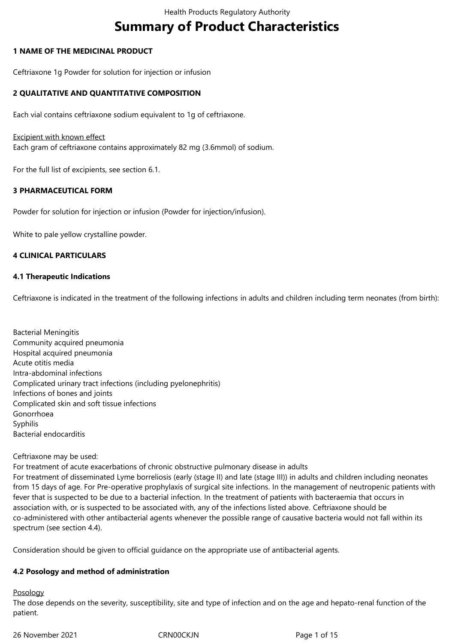# **Summary of Product Characteristics**

## **1 NAME OF THE MEDICINAL PRODUCT**

Ceftriaxone 1g Powder for solution for injection or infusion

## **2 QUALITATIVE AND QUANTITATIVE COMPOSITION**

Each vial contains ceftriaxone sodium equivalent to 1g of ceftriaxone.

### **Excipient with known effect**

Each gram of ceftriaxone contains approximately 82 mg (3.6mmol) of sodium.

For the full list of excipients, see section 6.1.

## **3 PHARMACEUTICAL FORM**

Powder for solution for injection or infusion (Powder for injection/infusion).

White to pale yellow crystalline powder.

## **4 CLINICAL PARTICULARS**

### **4.1 Therapeutic Indications**

Ceftriaxone is indicated in the treatment of the following infections in adults and children including term neonates (from birth):

Bacterial Meningitis Community acquired pneumonia Hospital acquired pneumonia Acute otitis media Intra-abdominal infections Complicated urinary tract infections (including pyelonephritis) Infections of bones and joints Complicated skin and soft tissue infections Gonorrhoea Syphilis Bacterial endocarditis

### Ceftriaxone may be used:

For treatment of acute exacerbations of chronic obstructive pulmonary disease in adults For treatment of disseminated Lyme borreliosis (early (stage II) and late (stage III)) in adults and children including neonates from 15 days of age. For Pre-operative prophylaxis of surgical site infections. In the management of neutropenic patients with fever that is suspected to be due to a bacterial infection. In the treatment of patients with bacteraemia that occurs in association with, or is suspected to be associated with, any of the infections listed above. Ceftriaxone should be co-administered with other antibacterial agents whenever the possible range of causative bacteria would not fall within its spectrum (see section 4.4).

Consideration should be given to official guidance on the appropriate use of antibacterial agents.

### **4.2 Posology and method of administration**

### Posology

The dose depends on the severity, susceptibility, site and type of infection and on the age and hepato-renal function of the patient.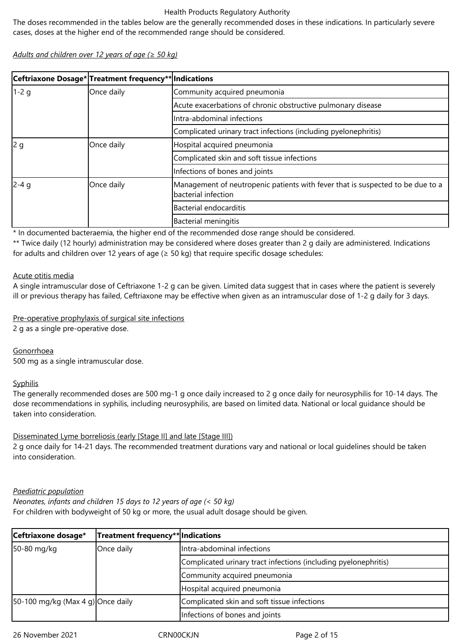The doses recommended in the tables below are the generally recommended doses in these indications. In particularly severe cases, doses at the higher end of the recommended range should be considered.

*Adults and children over 12 years of age (≥ 50 kg)*

|        | Ceftriaxone Dosage* Treatment frequency** Indications |                                                                                                        |
|--------|-------------------------------------------------------|--------------------------------------------------------------------------------------------------------|
| $1-2q$ | Once daily                                            | Community acquired pneumonia                                                                           |
|        |                                                       | Acute exacerbations of chronic obstructive pulmonary disease                                           |
|        |                                                       | Intra-abdominal infections                                                                             |
|        |                                                       | Complicated urinary tract infections (including pyelonephritis)                                        |
| 2g     | Once daily                                            | Hospital acquired pneumonia                                                                            |
|        |                                                       | Complicated skin and soft tissue infections                                                            |
|        |                                                       | Infections of bones and joints                                                                         |
| $2-4q$ | Once daily                                            | Management of neutropenic patients with fever that is suspected to be due to a<br>lbacterial infection |
|        |                                                       | Bacterial endocarditis                                                                                 |
|        |                                                       | Bacterial meningitis                                                                                   |

\* In documented bacteraemia, the higher end of the recommended dose range should be considered.

\*\* Twice daily (12 hourly) administration may be considered where doses greater than 2 g daily are administered. Indications for adults and children over 12 years of age ( $\geq$  50 kg) that require specific dosage schedules:

### Acute otitis media

A single intramuscular dose of Ceftriaxone 1-2 g can be given. Limited data suggest that in cases where the patient is severely ill or previous therapy has failed, Ceftriaxone may be effective when given as an intramuscular dose of 1-2 g daily for 3 days.

## Pre-operative prophylaxis of surgical site infections

2 g as a single pre-operative dose.

**Gonorrhoea** 

500 mg as a single intramuscular dose.

## Syphilis

The generally recommended doses are 500 mg-1 g once daily increased to 2 g once daily for neurosyphilis for 10-14 days. The dose recommendations in syphilis, including neurosyphilis, are based on limited data. National or local guidance should be taken into consideration.

## Disseminated Lyme borreliosis (early [Stage II] and late [Stage III])

2 g once daily for 14-21 days. The recommended treatment durations vary and national or local guidelines should be taken into consideration.

### *Paediatric population*

*Neonates, infants and children 15 days to 12 years of age (< 50 kg)*

For children with bodyweight of 50 kg or more, the usual adult dosage should be given.

| Ceftriaxone dosage*               | Treatment frequency** Indications |                                                                 |  |  |  |
|-----------------------------------|-----------------------------------|-----------------------------------------------------------------|--|--|--|
| 50-80 mg/kg                       | Once daily                        | Intra-abdominal infections                                      |  |  |  |
|                                   |                                   | Complicated urinary tract infections (including pyelonephritis) |  |  |  |
|                                   |                                   | Community acquired pneumonia                                    |  |  |  |
|                                   |                                   | Hospital acquired pneumonia                                     |  |  |  |
| 50-100 mg/kg (Max 4 g) Once daily |                                   | Complicated skin and soft tissue infections                     |  |  |  |
|                                   |                                   | Infections of bones and joints                                  |  |  |  |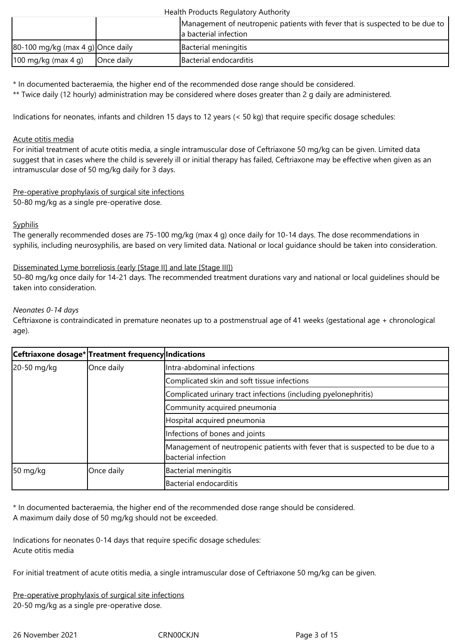|                                   |            | Management of neutropenic patients with fever that is suspected to be due to<br>a bacterial infection |
|-----------------------------------|------------|-------------------------------------------------------------------------------------------------------|
| 80-100 mg/kg (max 4 g) Once daily |            | Bacterial meningitis                                                                                  |
| $100 \text{ mg/kg}$ (max 4 g)     | Once daily | Bacterial endocarditis                                                                                |

\* In documented bacteraemia, the higher end of the recommended dose range should be considered.

\*\* Twice daily (12 hourly) administration may be considered where doses greater than 2 g daily are administered.

Indications for neonates, infants and children 15 days to 12 years (< 50 kg) that require specific dosage schedules:

### Acute otitis media

For initial treatment of acute otitis media, a single intramuscular dose of Ceftriaxone 50 mg/kg can be given. Limited data suggest that in cases where the child is severely ill or initial therapy has failed, Ceftriaxone may be effective when given as an intramuscular dose of 50 mg/kg daily for 3 days.

## Pre-operative prophylaxis of surgical site infections

50-80 mg/kg as a single pre-operative dose.

## **Syphilis**

The generally recommended doses are 75-100 mg/kg (max 4 g) once daily for 10-14 days. The dose recommendations in syphilis, including neurosyphilis, are based on very limited data. National or local guidance should be taken into consideration.

## Disseminated Lyme borreliosis (early [Stage II] and late [Stage III])

50–80 mg/kg once daily for 14-21 days. The recommended treatment durations vary and national or local guidelines should be taken into consideration.

## *Neonates 0-14 days*

Ceftriaxone is contraindicated in premature neonates up to a postmenstrual age of 41 weeks (gestational age + chronological age).

|                    | Ceftriaxone dosage* Treatment frequency Indications |                                                                                                       |  |  |  |
|--------------------|-----------------------------------------------------|-------------------------------------------------------------------------------------------------------|--|--|--|
| 20-50 mg/kg        | Once daily                                          | Intra-abdominal infections                                                                            |  |  |  |
|                    |                                                     | Complicated skin and soft tissue infections                                                           |  |  |  |
|                    |                                                     | Complicated urinary tract infections (including pyelonephritis)                                       |  |  |  |
|                    |                                                     | Community acquired pneumonia                                                                          |  |  |  |
|                    |                                                     | Hospital acquired pneumonia                                                                           |  |  |  |
|                    |                                                     | Infections of bones and joints                                                                        |  |  |  |
|                    |                                                     | Management of neutropenic patients with fever that is suspected to be due to a<br>bacterial infection |  |  |  |
| $50 \text{ mg/kg}$ | Once daily                                          | Bacterial meningitis                                                                                  |  |  |  |
|                    |                                                     | Bacterial endocarditis                                                                                |  |  |  |

\* In documented bacteraemia, the higher end of the recommended dose range should be considered. A maximum daily dose of 50 mg/kg should not be exceeded.

Indications for neonates 0-14 days that require specific dosage schedules: Acute otitis media

For initial treatment of acute otitis media, a single intramuscular dose of Ceftriaxone 50 mg/kg can be given.

Pre-operative prophylaxis of surgical site infections 20-50 mg/kg as a single pre-operative dose.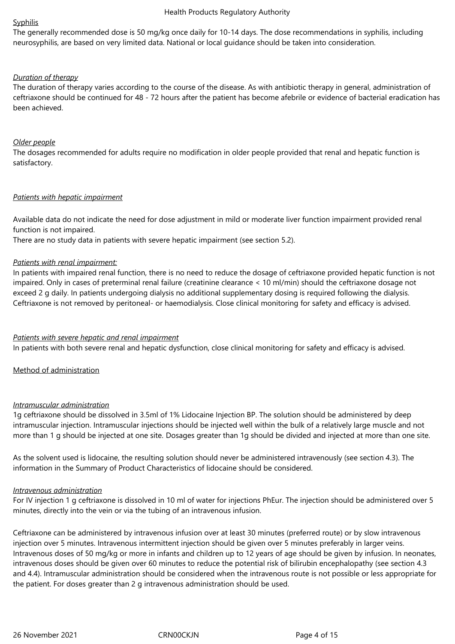#### Syphilis

The generally recommended dose is 50 mg/kg once daily for 10-14 days. The dose recommendations in syphilis, including neurosyphilis, are based on very limited data. National or local guidance should be taken into consideration.

## *Duration of therapy*

The duration of therapy varies according to the course of the disease. As with antibiotic therapy in general, administration of ceftriaxone should be continued for 48 - 72 hours after the patient has become afebrile or evidence of bacterial eradication has been achieved.

## *Older people*

The dosages recommended for adults require no modification in older people provided that renal and hepatic function is satisfactory.

## *Patients with hepatic impairment*

Available data do not indicate the need for dose adjustment in mild or moderate liver function impairment provided renal function is not impaired.

There are no study data in patients with severe hepatic impairment (see section 5.2).

## *Patients with renal impairment:*

In patients with impaired renal function, there is no need to reduce the dosage of ceftriaxone provided hepatic function is not impaired. Only in cases of preterminal renal failure (creatinine clearance < 10 ml/min) should the ceftriaxone dosage not exceed 2 g daily. In patients undergoing dialysis no additional supplementary dosing is required following the dialysis. Ceftriaxone is not removed by peritoneal- or haemodialysis. Close clinical monitoring for safety and efficacy is advised.

## *Patients with severe hepatic and renal impairment*

In patients with both severe renal and hepatic dysfunction, close clinical monitoring for safety and efficacy is advised.

Method of administration

### *Intramuscular administration*

1g ceftriaxone should be dissolved in 3.5ml of 1% Lidocaine Injection BP. The solution should be administered by deep intramuscular injection. Intramuscular injections should be injected well within the bulk of a relatively large muscle and not more than 1 g should be injected at one site. Dosages greater than 1g should be divided and injected at more than one site.

As the solvent used is lidocaine, the resulting solution should never be administered intravenously (see section 4.3). The information in the Summary of Product Characteristics of lidocaine should be considered.

### *Intravenous administration*

For IV injection 1 g ceftriaxone is dissolved in 10 ml of water for injections PhEur. The injection should be administered over 5 minutes, directly into the vein or via the tubing of an intravenous infusion.

Ceftriaxone can be administered by intravenous infusion over at least 30 minutes (preferred route) or by slow intravenous injection over 5 minutes. Intravenous intermittent injection should be given over 5 minutes preferably in larger veins. Intravenous doses of 50 mg/kg or more in infants and children up to 12 years of age should be given by infusion. In neonates, intravenous doses should be given over 60 minutes to reduce the potential risk of bilirubin encephalopathy (see section 4.3 and 4.4). Intramuscular administration should be considered when the intravenous route is not possible or less appropriate for the patient. For doses greater than 2 g intravenous administration should be used.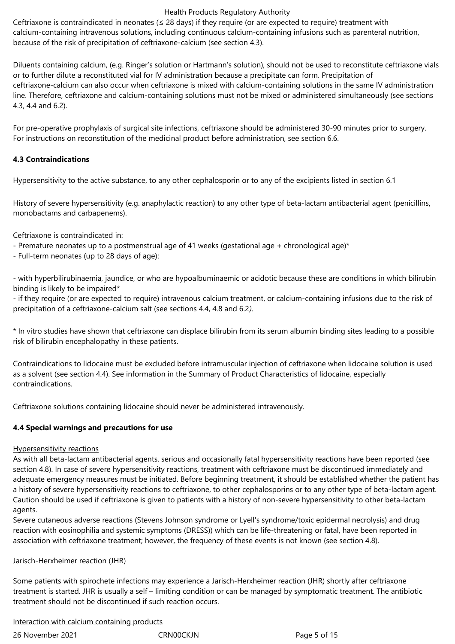Ceftriaxone is contraindicated in neonates ( $\leq$  28 days) if they require (or are expected to require) treatment with calcium-containing intravenous solutions, including continuous calcium-containing infusions such as parenteral nutrition, because of the risk of precipitation of ceftriaxone-calcium (see section 4.3).

Diluents containing calcium, (e.g. Ringer's solution or Hartmann's solution), should not be used to reconstitute ceftriaxone vials or to further dilute a reconstituted vial for IV administration because a precipitate can form. Precipitation of ceftriaxone-calcium can also occur when ceftriaxone is mixed with calcium-containing solutions in the same IV administration line. Therefore, ceftriaxone and calcium-containing solutions must not be mixed or administered simultaneously (see sections 4.3, 4.4 and 6.2).

For pre-operative prophylaxis of surgical site infections, ceftriaxone should be administered 30-90 minutes prior to surgery. For instructions on reconstitution of the medicinal product before administration, see section 6.6.

## **4.3 Contraindications**

Hypersensitivity to the active substance, to any other cephalosporin or to any of the excipients listed in section 6.1

History of severe hypersensitivity (e.g. anaphylactic reaction) to any other type of beta-lactam antibacterial agent (penicillins, monobactams and carbapenems).

Ceftriaxone is contraindicated in:

- Premature neonates up to a postmenstrual age of 41 weeks (gestational age + chronological age)\*
- Full-term neonates (up to 28 days of age):

- with hyperbilirubinaemia, jaundice, or who are hypoalbuminaemic or acidotic because these are conditions in which bilirubin binding is likely to be impaired\*

- if they require (or are expected to require) intravenous calcium treatment, or calcium-containing infusions due to the risk of precipitation of a ceftriaxone-calcium salt (see sections 4.4, 4.8 and 6.2*).*

\* In vitro studies have shown that ceftriaxone can displace bilirubin from its serum albumin binding sites leading to a possible risk of bilirubin encephalopathy in these patients.

Contraindications to lidocaine must be excluded before intramuscular injection of ceftriaxone when lidocaine solution is used as a solvent (see section 4.4). See information in the Summary of Product Characteristics of lidocaine, especially contraindications.

Ceftriaxone solutions containing lidocaine should never be administered intravenously.

## **4.4 Special warnings and precautions for use**

### Hypersensitivity reactions

As with all beta-lactam antibacterial agents, serious and occasionally fatal hypersensitivity reactions have been reported (see section 4.8). In case of severe hypersensitivity reactions, treatment with ceftriaxone must be discontinued immediately and adequate emergency measures must be initiated. Before beginning treatment, it should be established whether the patient has a history of severe hypersensitivity reactions to ceftriaxone, to other cephalosporins or to any other type of beta-lactam agent. Caution should be used if ceftriaxone is given to patients with a history of non-severe hypersensitivity to other beta-lactam agents.

Severe cutaneous adverse reactions (Stevens Johnson syndrome or Lyell's syndrome/toxic epidermal necrolysis) and drug reaction with eosinophilia and systemic symptoms (DRESS)) which can be life-threatening or fatal, have been reported in association with ceftriaxone treatment; however, the frequency of these events is not known (see section 4.8).

### Jarisch-Herxheimer reaction (JHR)

Some patients with spirochete infections may experience a Jarisch-Herxheimer reaction (JHR) shortly after ceftriaxone treatment is started. JHR is usually a self – limiting condition or can be managed by symptomatic treatment. The antibiotic treatment should not be discontinued if such reaction occurs.

Interaction with calcium containing products

26 November 2021 CRN00CKJN Page 5 of 15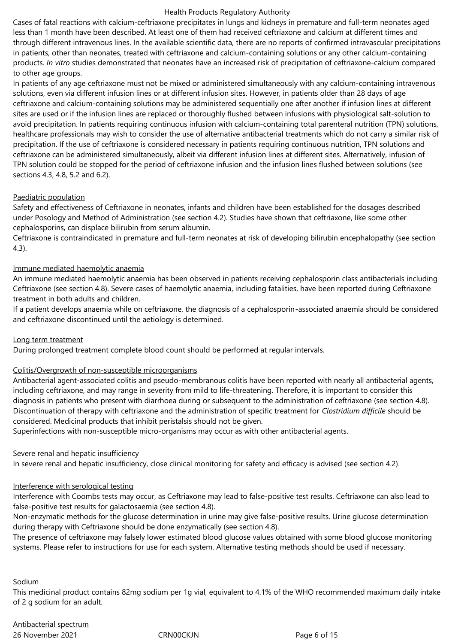Cases of fatal reactions with calcium-ceftriaxone precipitates in lungs and kidneys in premature and full-term neonates aged less than 1 month have been described. At least one of them had received ceftriaxone and calcium at different times and through different intravenous lines. In the available scientific data, there are no reports of confirmed intravascular precipitations in patients, other than neonates, treated with ceftriaxone and calcium-containing solutions or any other calcium-containing products. *In vitro* studies demonstrated that neonates have an increased risk of precipitation of ceftriaxone-calcium compared to other age groups.

In patients of any age ceftriaxone must not be mixed or administered simultaneously with any calcium-containing intravenous solutions, even via different infusion lines or at different infusion sites. However, in patients older than 28 days of age ceftriaxone and calcium-containing solutions may be administered sequentially one after another if infusion lines at different sites are used or if the infusion lines are replaced or thoroughly flushed between infusions with physiological salt-solution to avoid precipitation. In patients requiring continuous infusion with calcium-containing total parenteral nutrition (TPN) solutions, healthcare professionals may wish to consider the use of alternative antibacterial treatments which do not carry a similar risk of precipitation. If the use of ceftriaxone is considered necessary in patients requiring continuous nutrition, TPN solutions and ceftriaxone can be administered simultaneously, albeit via different infusion lines at different sites. Alternatively, infusion of TPN solution could be stopped for the period of ceftriaxone infusion and the infusion lines flushed between solutions (see sections 4.3, 4.8, 5.2 and 6.2).

## Paediatric population

Safety and effectiveness of Ceftriaxone in neonates, infants and children have been established for the dosages described under Posology and Method of Administration (see section 4.2). Studies have shown that ceftriaxone, like some other cephalosporins, can displace bilirubin from serum albumin.

Ceftriaxone is contraindicated in premature and full-term neonates at risk of developing bilirubin encephalopathy (see section 4.3).

## Immune mediated haemolytic anaemia

An immune mediated haemolytic anaemia has been observed in patients receiving cephalosporin class antibacterials including Ceftriaxone (see section 4.8). Severe cases of haemolytic anaemia, including fatalities, have been reported during Ceftriaxone treatment in both adults and children.

If a patient develops anaemia while on ceftriaxone, the diagnosis of a cephalosporin*-*associated anaemia should be considered and ceftriaxone discontinued until the aetiology is determined.

### Long term treatment

During prolonged treatment complete blood count should be performed at regular intervals.

### Colitis/Overgrowth of non-susceptible microorganisms

Antibacterial agent-associated colitis and pseudo-membranous colitis have been reported with nearly all antibacterial agents, including ceftriaxone, and may range in severity from mild to life-threatening. Therefore, it is important to consider this diagnosis in patients who present with diarrhoea during or subsequent to the administration of ceftriaxone (see section 4.8). Discontinuation of therapy with ceftriaxone and the administration of specific treatment for *Clostridium difficile* should be considered. Medicinal products that inhibit peristalsis should not be given.

Superinfections with non-susceptible micro-organisms may occur as with other antibacterial agents.

### Severe renal and hepatic insufficiency

In severe renal and hepatic insufficiency, close clinical monitoring for safety and efficacy is advised (see section 4.2).

## Interference with serological testing

Interference with Coombs tests may occur, as Ceftriaxone may lead to false-positive test results. Ceftriaxone can also lead to false-positive test results for galactosaemia (see section 4.8).

Non-enzymatic methods for the glucose determination in urine may give false-positive results. Urine glucose determination during therapy with Ceftriaxone should be done enzymatically (see section 4.8).

The presence of ceftriaxone may falsely lower estimated blood glucose values obtained with some blood glucose monitoring systems. Please refer to instructions for use for each system. Alternative testing methods should be used if necessary.

### Sodium

This medicinal product contains 82mg sodium per 1g vial, equivalent to 4.1% of the WHO recommended maximum daily intake of 2 g sodium for an adult.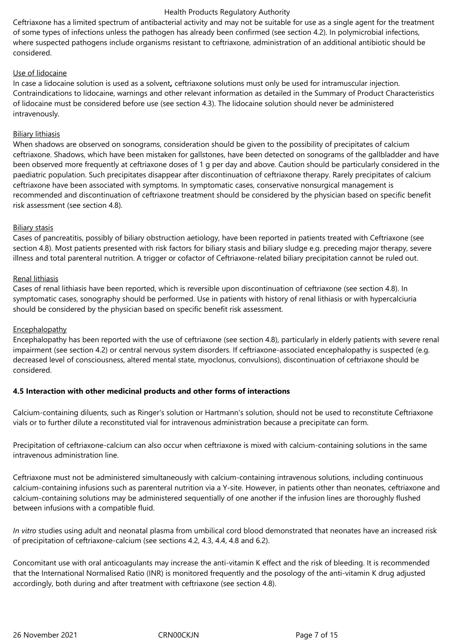Ceftriaxone has a limited spectrum of antibacterial activity and may not be suitable for use as a single agent for the treatment of some types of infections unless the pathogen has already been confirmed (see section 4.2). In polymicrobial infections, where suspected pathogens include organisms resistant to ceftriaxone, administration of an additional antibiotic should be considered.

## Use of lidocaine

In case a lidocaine solution is used as a solvent*,* ceftriaxone solutions must only be used for intramuscular injection. Contraindications to lidocaine, warnings and other relevant information as detailed in the Summary of Product Characteristics of lidocaine must be considered before use (see section 4.3). The lidocaine solution should never be administered intravenously.

## Biliary lithiasis

When shadows are observed on sonograms, consideration should be given to the possibility of precipitates of calcium ceftriaxone. Shadows, which have been mistaken for gallstones, have been detected on sonograms of the gallbladder and have been observed more frequently at ceftriaxone doses of 1 g per day and above. Caution should be particularly considered in the paediatric population. Such precipitates disappear after discontinuation of ceftriaxone therapy. Rarely precipitates of calcium ceftriaxone have been associated with symptoms. In symptomatic cases, conservative nonsurgical management is recommended and discontinuation of ceftriaxone treatment should be considered by the physician based on specific benefit risk assessment (see section 4.8).

## Biliary stasis

Cases of pancreatitis, possibly of biliary obstruction aetiology, have been reported in patients treated with Ceftriaxone (see section 4.8). Most patients presented with risk factors for biliary stasis and biliary sludge e.g. preceding major therapy, severe illness and total parenteral nutrition. A trigger or cofactor of Ceftriaxone-related biliary precipitation cannot be ruled out.

## Renal lithiasis

Cases of renal lithiasis have been reported, which is reversible upon discontinuation of ceftriaxone (see section 4.8). In symptomatic cases, sonography should be performed. Use in patients with history of renal lithiasis or with hypercalciuria should be considered by the physician based on specific benefit risk assessment.

## **Encephalopathy**

Encephalopathy has been reported with the use of ceftriaxone (see section 4.8), particularly in elderly patients with severe renal impairment (see section 4.2) or central nervous system disorders. If ceftriaxone-associated encephalopathy is suspected (e.g. decreased level of consciousness, altered mental state, myoclonus, convulsions), discontinuation of ceftriaxone should be considered.

## **4.5 Interaction with other medicinal products and other forms of interactions**

Calcium-containing diluents, such as Ringer's solution or Hartmann's solution, should not be used to reconstitute Ceftriaxone vials or to further dilute a reconstituted vial for intravenous administration because a precipitate can form.

Precipitation of ceftriaxone-calcium can also occur when ceftriaxone is mixed with calcium-containing solutions in the same intravenous administration line.

Ceftriaxone must not be administered simultaneously with calcium-containing intravenous solutions, including continuous calcium-containing infusions such as parenteral nutrition via a Y-site. However, in patients other than neonates, ceftriaxone and calcium-containing solutions may be administered sequentially of one another if the infusion lines are thoroughly flushed between infusions with a compatible fluid.

*In vitro* studies using adult and neonatal plasma from umbilical cord blood demonstrated that neonates have an increased risk of precipitation of ceftriaxone-calcium (see sections 4.2, 4.3, 4.4, 4.8 and 6.2).

Concomitant use with oral anticoagulants may increase the anti-vitamin K effect and the risk of bleeding. It is recommended that the International Normalised Ratio (INR) is monitored frequently and the posology of the anti-vitamin K drug adjusted accordingly, both during and after treatment with ceftriaxone (see section 4.8).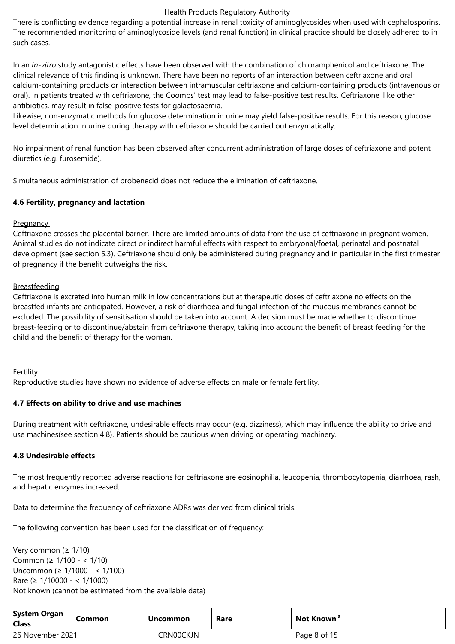There is conflicting evidence regarding a potential increase in renal toxicity of aminoglycosides when used with cephalosporins. The recommended monitoring of aminoglycoside levels (and renal function) in clinical practice should be closely adhered to in such cases.

In an *in-vitro* study antagonistic effects have been observed with the combination of chloramphenicol and ceftriaxone. The clinical relevance of this finding is unknown. There have been no reports of an interaction between ceftriaxone and oral calcium-containing products or interaction between intramuscular ceftriaxone and calcium-containing products (intravenous or oral). In patients treated with ceftriaxone, the Coombs' test may lead to false-positive test results. Ceftriaxone, like other antibiotics, may result in false-positive tests for galactosaemia.

Likewise, non-enzymatic methods for glucose determination in urine may yield false-positive results. For this reason, glucose level determination in urine during therapy with ceftriaxone should be carried out enzymatically.

No impairment of renal function has been observed after concurrent administration of large doses of ceftriaxone and potent diuretics (e.g. furosemide).

Simultaneous administration of probenecid does not reduce the elimination of ceftriaxone.

## **4.6 Fertility, pregnancy and lactation**

## **Pregnancy**

Ceftriaxone crosses the placental barrier. There are limited amounts of data from the use of ceftriaxone in pregnant women. Animal studies do not indicate direct or indirect harmful effects with respect to embryonal/foetal, perinatal and postnatal development (see section 5.3). Ceftriaxone should only be administered during pregnancy and in particular in the first trimester of pregnancy if the benefit outweighs the risk.

## **Breastfeeding**

Ceftriaxone is excreted into human milk in low concentrations but at therapeutic doses of ceftriaxone no effects on the breastfed infants are anticipated. However, a risk of diarrhoea and fungal infection of the mucous membranes cannot be excluded. The possibility of sensitisation should be taken into account. A decision must be made whether to discontinue breast-feeding or to discontinue/abstain from ceftriaxone therapy, taking into account the benefit of breast feeding for the child and the benefit of therapy for the woman.

## Fertility

Reproductive studies have shown no evidence of adverse effects on male or female fertility.

## **4.7 Effects on ability to drive and use machines**

During treatment with ceftriaxone, undesirable effects may occur (e.g. dizziness), which may influence the ability to drive and use machines(see section 4.8). Patients should be cautious when driving or operating machinery.

### **4.8 Undesirable effects**

The most frequently reported adverse reactions for ceftriaxone are eosinophilia, leucopenia, thrombocytopenia, diarrhoea, rash, and hepatic enzymes increased.

Data to determine the frequency of ceftriaxone ADRs was derived from clinical trials.

The following convention has been used for the classification of frequency:

Very common (≥ 1/10) Common (≥ 1/100 - < 1/10) Uncommon (≥ 1/1000 - < 1/100) Rare (≥ 1/10000 - < 1/1000) Not known (cannot be estimated from the available data)

| <b>System Organ</b><br><b>Class</b> | Common | <b>Uncommon</b> | Rare | Not Known <sup>a</sup> |
|-------------------------------------|--------|-----------------|------|------------------------|
| 26 November 2021                    |        | CRNOOCKJN       |      | Page 8 of 15           |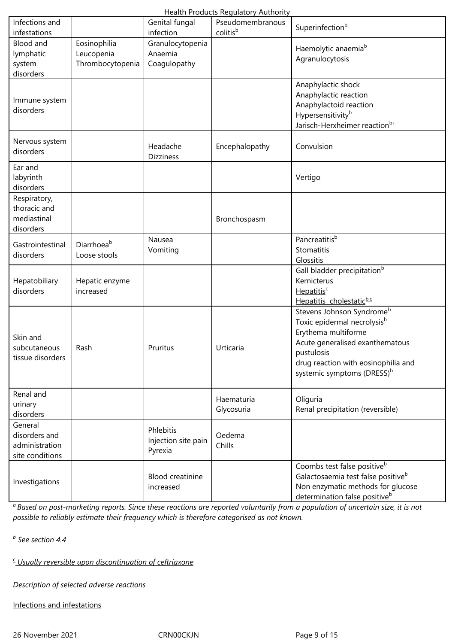|                                                               |                                                |                                             | Health Products Regulatory Authority |                                                                                                                                                                                                                                           |
|---------------------------------------------------------------|------------------------------------------------|---------------------------------------------|--------------------------------------|-------------------------------------------------------------------------------------------------------------------------------------------------------------------------------------------------------------------------------------------|
| Infections and<br>infestations                                |                                                | Genital fungal<br>infection                 | Pseudomembranous<br>colitisb         | Superinfection <sup>b</sup>                                                                                                                                                                                                               |
| <b>Blood and</b><br>lymphatic<br>system<br>disorders          | Eosinophilia<br>Leucopenia<br>Thrombocytopenia | Granulocytopenia<br>Anaemia<br>Coagulopathy |                                      | Haemolytic anaemia <sup>b</sup><br>Agranulocytosis                                                                                                                                                                                        |
| Immune system<br>disorders                                    |                                                |                                             |                                      | Anaphylactic shock<br>Anaphylactic reaction<br>Anaphylactoid reaction<br>Hypersensitivity <sup>b</sup><br>Jarisch-Herxheimer reaction <sup>b</sup>                                                                                        |
| Nervous system<br>disorders                                   |                                                | Headache<br><b>Dizziness</b>                | Encephalopathy                       | Convulsion                                                                                                                                                                                                                                |
| Ear and<br>labyrinth<br>disorders                             |                                                |                                             |                                      | Vertigo                                                                                                                                                                                                                                   |
| Respiratory,<br>thoracic and<br>mediastinal<br>disorders      |                                                |                                             | Bronchospasm                         |                                                                                                                                                                                                                                           |
| Gastrointestinal<br>disorders                                 | Diarrhoeab<br>Loose stools                     | Nausea<br>Vomiting                          |                                      | Pancreatitisb<br>Stomatitis<br>Glossitis                                                                                                                                                                                                  |
| Hepatobiliary<br>disorders                                    | Hepatic enzyme<br>increased                    |                                             |                                      | Gall bladder precipitation <sup>b</sup><br>Kernicterus<br>Hepatitis <sup>c</sup><br>Hepatitis cholestaticb.c                                                                                                                              |
| Skin and<br>subcutaneous<br>tissue disorders                  | Rash                                           | Pruritus                                    | Urticaria                            | Stevens Johnson Syndrome <sup>b</sup><br>Toxic epidermal necrolysis <sup>b</sup><br>Erythema multiforme<br>Acute generalised exanthematous<br>pustulosis<br>drug reaction with eosinophilia and<br>systemic symptoms (DRESS) <sup>b</sup> |
| Renal and<br>urinary<br>disorders                             |                                                |                                             | Haematuria<br>Glycosuria             | Oliguria<br>Renal precipitation (reversible)                                                                                                                                                                                              |
| General<br>disorders and<br>administration<br>site conditions |                                                | Phlebitis<br>Injection site pain<br>Pyrexia | Oedema<br>Chills                     |                                                                                                                                                                                                                                           |
| Investigations                                                |                                                | <b>Blood creatinine</b><br>increased        |                                      | Coombs test false positive <sup>b</sup><br>Galactosaemia test false positive <sup>b</sup><br>Non enzymatic methods for glucose<br>determination false positive <sup>b</sup>                                                               |

*<sup>a</sup>Based on post-marketing reports. Since these reactions are reported voluntarily from a population of uncertain size, it is not possible to reliably estimate their frequency which is therefore categorised as not known.*

*b See section 4.4*

*c Usually reversible upon discontinuation of ceftriaxone*

*Description of selected adverse reactions*

Infections and infestations

26 November 2021 CRN00CKJN Page 9 of 15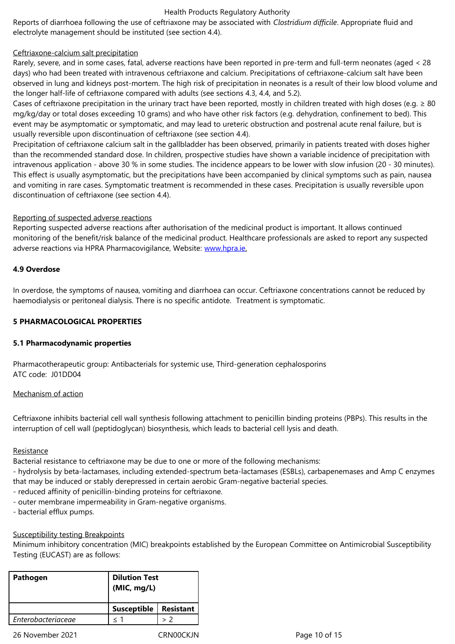## Ceftriaxone-calcium salt precipitation

Rarely, severe, and in some cases, fatal, adverse reactions have been reported in pre-term and full-term neonates (aged < 28 days) who had been treated with intravenous ceftriaxone and calcium. Precipitations of ceftriaxone-calcium salt have been observed in lung and kidneys post-mortem. The high risk of precipitation in neonates is a result of their low blood volume and the longer half-life of ceftriaxone compared with adults (see sections 4.3, 4.4, and 5.2).

Cases of ceftriaxone precipitation in the urinary tract have been reported, mostly in children treated with high doses (e.g.  $\geq 80$ mg/kg/day or total doses exceeding 10 grams) and who have other risk factors (e.g. dehydration, confinement to bed). This event may be asymptomatic or symptomatic, and may lead to ureteric obstruction and postrenal acute renal failure, but is usually reversible upon discontinuation of ceftriaxone (see section 4.4).

Precipitation of ceftriaxone calcium salt in the gallbladder has been observed, primarily in patients treated with doses higher than the recommended standard dose. In children, prospective studies have shown a variable incidence of precipitation with intravenous application - above 30 % in some studies. The incidence appears to be lower with slow infusion (20 - 30 minutes). This effect is usually asymptomatic, but the precipitations have been accompanied by clinical symptoms such as pain, nausea and vomiting in rare cases. Symptomatic treatment is recommended in these cases. Precipitation is usually reversible upon discontinuation of ceftriaxone (see section 4.4).

### Reporting of suspected adverse reactions

Reporting suspected adverse reactions after authorisation of the medicinal product is important. It allows continued monitoring of the benefit/risk balance of the medicinal product. Healthcare professionals are asked to report any suspected adverse reactions via HPRA Pharmacovigilance, Website: www.hpra.ie.

### **4.9 Overdose**

In overdose, the symptoms of nausea, vomiting and diarr[hoea can occ](http://www.hpra.ie/)ur. Ceftriaxone concentrations cannot be reduced by haemodialysis or peritoneal dialysis. There is no specific antidote. Treatment is symptomatic.

### **5 PHARMACOLOGICAL PROPERTIES**

#### **5.1 Pharmacodynamic properties**

Pharmacotherapeutic group: Antibacterials for systemic use, Third-generation cephalosporins ATC code: J01DD04

#### Mechanism of action

Ceftriaxone inhibits bacterial cell wall synthesis following attachment to penicillin binding proteins (PBPs). This results in the interruption of cell wall (peptidoglycan) biosynthesis, which leads to bacterial cell lysis and death.

#### Resistance

Bacterial resistance to ceftriaxone may be due to one or more of the following mechanisms:

- hydrolysis by beta-lactamases, including extended-spectrum beta-lactamases (ESBLs), carbapenemases and Amp C enzymes that may be induced or stably derepressed in certain aerobic Gram-negative bacterial species.
- reduced affinity of penicillin-binding proteins for ceftriaxone.
- outer membrane impermeability in Gram-negative organisms.
- bacterial efflux pumps.

## Susceptibility testing Breakpoints

Minimum inhibitory concentration (MIC) breakpoints established by the European Committee on Antimicrobial Susceptibility Testing (EUCAST) are as follows:

| <b>Dilution Test</b><br>(MIC, mg/L) |                  |  |  |  |
|-------------------------------------|------------------|--|--|--|
| <b>Susceptible</b>                  | <b>Resistant</b> |  |  |  |
| < 1                                 |                  |  |  |  |
|                                     |                  |  |  |  |

26 November 2021 CRN00CKJN Page 10 of 15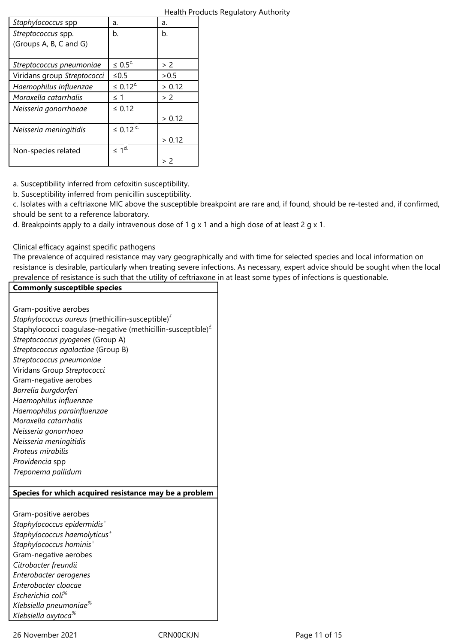|                             |                           |        | Health Products Regulatory Authority |
|-----------------------------|---------------------------|--------|--------------------------------------|
| Staphylococcus spp          | a.                        | a.     |                                      |
| Streptococcus spp.          | b.                        | b.     |                                      |
| (Groups A, B, C and G)      |                           |        |                                      |
|                             |                           |        |                                      |
| Streptococcus pneumoniae    | $\leq 0.5^{\circ}$        | > 2    |                                      |
| Viridans group Streptococci | $\leq 0.5$                | > 0.5  |                                      |
| Haemophilus influenzae      | $\leq 0.12^{c}$           | > 0.12 |                                      |
| Moraxella catarrhalis       | $\leq$ 1                  | > 2    |                                      |
| Neisseria gonorrhoeae       | $\leq 0.12$               |        |                                      |
|                             |                           | > 0.12 |                                      |
| Neisseria meningitidis      | $\leq 0.12$ <sup>c.</sup> |        |                                      |
|                             |                           | > 0.12 |                                      |
| Non-species related         | $\leq 1^{d}$              |        |                                      |
|                             |                           | > 2    |                                      |

a. Susceptibility inferred from cefoxitin susceptibility.

b. Susceptibility inferred from penicillin susceptibility.

c. Isolates with a ceftriaxone MIC above the susceptible breakpoint are rare and, if found, should be re-tested and, if confirmed, should be sent to a reference laboratory.

d. Breakpoints apply to a daily intravenous dose of 1 g x 1 and a high dose of at least 2 g x 1.

Clinical efficacy against specific pathogens

The prevalence of acquired resistance may vary geographically and with time for selected species and local information on resistance is desirable, particularly when treating severe infections. As necessary, expert advice should be sought when the local prevalence of resistance is such that the utility of ceftriaxone in at least some types of infections is questionable.

## **Commonly susceptible species**

Gram-positive aerobes

*Staphylococcus aureus* (methicillin-susceptible)£ Staphylococci coagulase-negative (methicillin-susceptible) $<sup>f</sup>$ </sup> *Streptococcus pyogenes* (Group A) *Streptococcus agalactiae* (Group B) *Streptococcus pneumoniae* Viridans Group *Streptococci* Gram-negative aerobes *Borrelia burgdorferi Haemophilus influenzae Haemophilus parainfluenzae Moraxella catarrhalis Neisseria gonorrhoea Neisseria meningitidis Proteus mirabilis Providencia* spp *Treponema pallidum* **Species for which acquired resistance may be a problem** Gram-positive aerobes *Staphylococcus epidermidis<sup>+</sup> Staphylococcus haemolyticus<sup>+</sup> Staphylococcus hominis<sup>+</sup>* Gram-negative aerobes *Citrobacter freundii Enterobacter aerogenes Enterobacter cloacae Escherichia coli% Klebsiella pneumoniae% Klebsiella oxytoca%*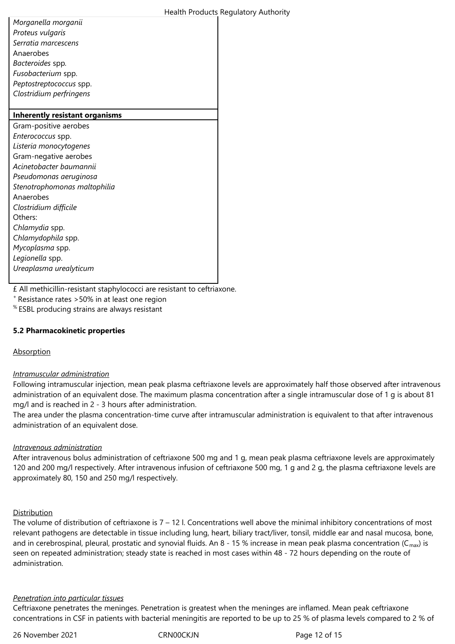*Morganella morganii Proteus vulgaris Serratia marcescens* Anaerobes *Bacteroides* spp*. Fusobacterium* spp. *Peptostreptococcus* spp. *Clostridium perfringens*

## **Inherently resistant organisms** Gram-positive aerobes *Enterococcus* spp. *Listeria monocytogenes* Gram-negative aerobes *Acinetobacter baumannii Pseudomonas aeruginosa Stenotrophomonas maltophilia* Anaerobes *Clostridium difficile* Others: *Chlamydia* spp. *Chlamydophila* spp. *Mycoplasma* spp. *Legionella* spp. *Ureaplasma urealyticum* £ All methicillin-resistant staphylococci are resistant to ceftriaxone.

<sup>+</sup>Resistance rates >50% in at least one region

% ESBL producing strains are always resistant

### **5.2 Pharmacokinetic properties**

### Absorption

### *Intramuscular administration*

Following intramuscular injection, mean peak plasma ceftriaxone levels are approximately half those observed after intravenous administration of an equivalent dose. The maximum plasma concentration after a single intramuscular dose of 1 g is about 81 mg/l and is reached in 2 - 3 hours after administration.

The area under the plasma concentration-time curve after intramuscular administration is equivalent to that after intravenous administration of an equivalent dose.

### *Intravenous administration*

After intravenous bolus administration of ceftriaxone 500 mg and 1 g, mean peak plasma ceftriaxone levels are approximately 120 and 200 mg/l respectively. After intravenous infusion of ceftriaxone 500 mg, 1 g and 2 g, the plasma ceftriaxone levels are approximately 80, 150 and 250 mg/l respectively.

### Distribution

The volume of distribution of ceftriaxone is  $7 - 12$  l. Concentrations well above the minimal inhibitory concentrations of most relevant pathogens are detectable in tissue including lung, heart, biliary tract/liver, tonsil, middle ear and nasal mucosa, bone, and in cerebrospinal, pleural, prostatic and synovial fluids. An 8 - 15 % increase in mean peak plasma concentration ( $C_{\text{max}}$ ) is seen on repeated administration; steady state is reached in most cases within 48 - 72 hours depending on the route of administration.

### *Penetration into particular tissues*

Ceftriaxone penetrates the meninges. Penetration is greatest when the meninges are inflamed. Mean peak ceftriaxone concentrations in CSF in patients with bacterial meningitis are reported to be up to 25 % of plasma levels compared to 2 % of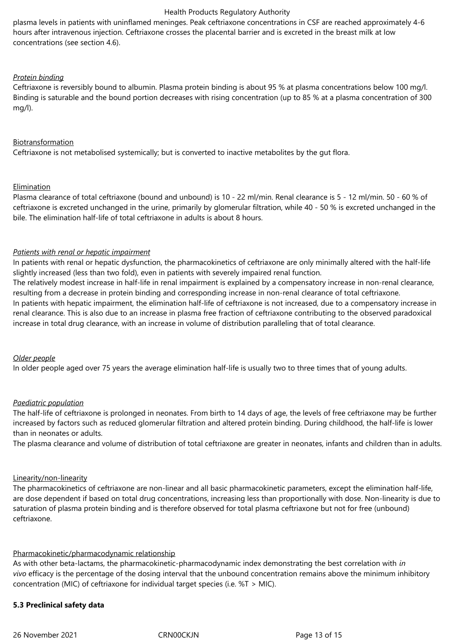plasma levels in patients with uninflamed meninges. Peak ceftriaxone concentrations in CSF are reached approximately 4-6 hours after intravenous injection. Ceftriaxone crosses the placental barrier and is excreted in the breast milk at low concentrations (see section 4.6).

## *Protein binding*

Ceftriaxone is reversibly bound to albumin. Plasma protein binding is about 95 % at plasma concentrations below 100 mg/l. Binding is saturable and the bound portion decreases with rising concentration (up to 85 % at a plasma concentration of 300 mg/l).

## Biotransformation

Ceftriaxone is not metabolised systemically; but is converted to inactive metabolites by the gut flora.

## Elimination

Plasma clearance of total ceftriaxone (bound and unbound) is 10 - 22 ml/min. Renal clearance is 5 - 12 ml/min. 50 - 60 % of ceftriaxone is excreted unchanged in the urine, primarily by glomerular filtration, while 40 - 50 % is excreted unchanged in the bile. The elimination half-life of total ceftriaxone in adults is about 8 hours.

## *Patients with renal or hepatic impairment*

In patients with renal or hepatic dysfunction, the pharmacokinetics of ceftriaxone are only minimally altered with the half-life slightly increased (less than two fold), even in patients with severely impaired renal function.

The relatively modest increase in half-life in renal impairment is explained by a compensatory increase in non-renal clearance, resulting from a decrease in protein binding and corresponding increase in non-renal clearance of total ceftriaxone. In patients with hepatic impairment, the elimination half-life of ceftriaxone is not increased, due to a compensatory increase in renal clearance. This is also due to an increase in plasma free fraction of ceftriaxone contributing to the observed paradoxical increase in total drug clearance, with an increase in volume of distribution paralleling that of total clearance.

## *Older people*

In older people aged over 75 years the average elimination half-life is usually two to three times that of young adults.

## *Paediatric population*

The half-life of ceftriaxone is prolonged in neonates. From birth to 14 days of age, the levels of free ceftriaxone may be further increased by factors such as reduced glomerular filtration and altered protein binding. During childhood, the half-life is lower than in neonates or adults.

The plasma clearance and volume of distribution of total ceftriaxone are greater in neonates, infants and children than in adults.

### Linearity/non-linearity

The pharmacokinetics of ceftriaxone are non-linear and all basic pharmacokinetic parameters, except the elimination half-life, are dose dependent if based on total drug concentrations, increasing less than proportionally with dose. Non-linearity is due to saturation of plasma protein binding and is therefore observed for total plasma ceftriaxone but not for free (unbound) ceftriaxone.

## Pharmacokinetic/pharmacodynamic relationship

As with other beta-lactams, the pharmacokinetic-pharmacodynamic index demonstrating the best correlation with *in vivo* efficacy is the percentage of the dosing interval that the unbound concentration remains above the minimum inhibitory concentration (MIC) of ceftriaxone for individual target species (i.e. %T > MIC).

## **5.3 Preclinical safety data**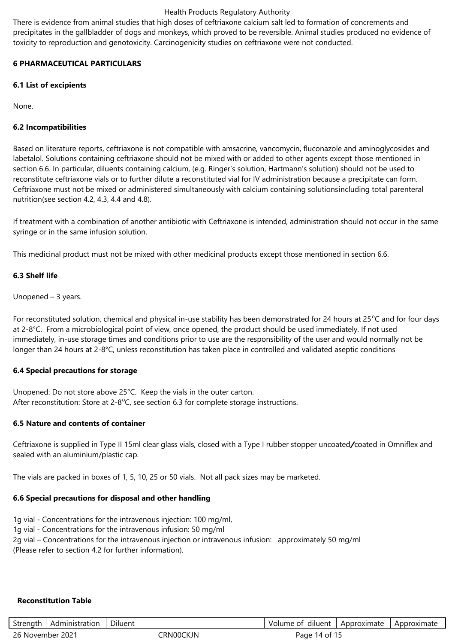There is evidence from animal studies that high doses of ceftriaxone calcium salt led to formation of concrements and precipitates in the gallbladder of dogs and monkeys, which proved to be reversible. Animal studies produced no evidence of toxicity to reproduction and genotoxicity. Carcinogenicity studies on ceftriaxone were not conducted.

## **6 PHARMACEUTICAL PARTICULARS**

## **6.1 List of excipients**

None.

## **6.2 Incompatibilities**

Based on literature reports, ceftriaxone is not compatible with amsacrine, vancomycin, fluconazole and aminoglycosides and labetalol. Solutions containing ceftriaxone should not be mixed with or added to other agents except those mentioned in section 6.6. In particular, diluents containing calcium, (e.g. Ringer's solution, Hartmann's solution) should not be used to reconstitute ceftriaxone vials or to further dilute a reconstituted vial for IV administration because a precipitate can form. Ceftriaxone must not be mixed or administered simultaneously with calcium containing solutionsincluding total parenteral nutrition(see section 4.2, 4.3, 4.4 and 4.8).

If treatment with a combination of another antibiotic with Ceftriaxone is intended, administration should not occur in the same syringe or in the same infusion solution.

This medicinal product must not be mixed with other medicinal products except those mentioned in section 6.6.

## **6.3 Shelf life**

Unopened – 3 years.

For reconstituted solution, chemical and physical in-use stability has been demonstrated for 24 hours at 25 $\degree$ C and for four days at 2-8°C. From a microbiological point of view, once opened, the product should be used immediately. If not used immediately, in-use storage times and conditions prior to use are the responsibility of the user and would normally not be longer than 24 hours at 2-8°C, unless reconstitution has taken place in controlled and validated aseptic conditions

## **6.4 Special precautions for storage**

Unopened: Do not store above 25°C. Keep the vials in the outer carton. After reconstitution: Store at  $2-8^{\circ}$ C, see section 6.3 for complete storage instructions.

## **6.5 Nature and contents of container**

Ceftriaxone is supplied in Type II 15ml clear glass vials, closed with a Type I rubber stopper uncoated*/*coated in Omniflex and sealed with an aluminium/plastic cap.

The vials are packed in boxes of 1, 5, 10, 25 or 50 vials. Not all pack sizes may be marketed.

## **6.6 Special precautions for disposal and other handling**

- 1g vial Concentrations for the intravenous injection: 100 mg/ml,
- 1g vial Concentrations for the intravenous infusion: 50 mg/ml

2g vial – Concentrations for the intravenous injection or intravenous infusion: approximately 50 mg/ml

(Please refer to section 4.2 for further information).

## **Reconstitution Table**

| Strength         | Administration | Diluent    | Volume of diluent            | Approximate | Approximate |
|------------------|----------------|------------|------------------------------|-------------|-------------|
| 26 November 2021 |                | ∵ิRN00CKJN | . 14 of <sup>1</sup><br>Page |             |             |